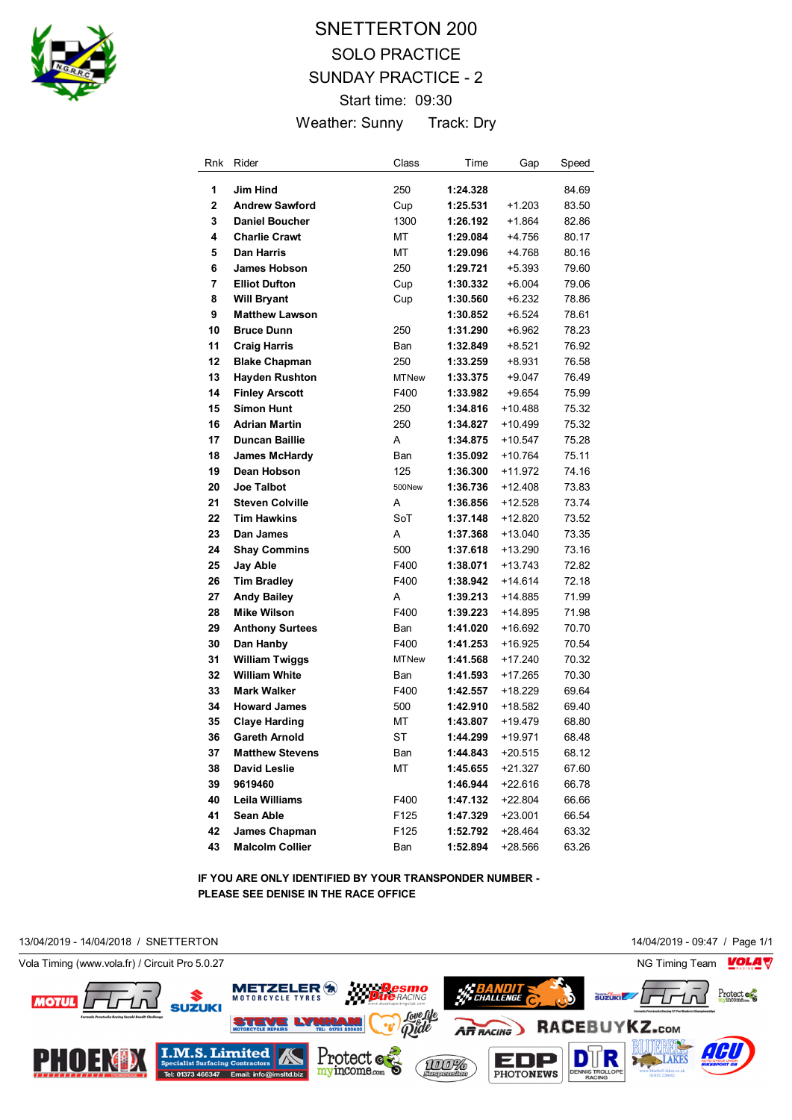

## SNETTERTON 200 SOLO PRACTICE SUNDAY PRACTICE - 2 Start time: 09:30 Weather: Sunny Track: Dry

| Rnk | Rider                  | Class        | Time     | Gap       | Speed |
|-----|------------------------|--------------|----------|-----------|-------|
| 1   | <b>Jim Hind</b>        | 250          | 1:24.328 |           | 84.69 |
| 2   | <b>Andrew Sawford</b>  | Cup          | 1:25.531 | $+1.203$  | 83.50 |
| 3   | <b>Daniel Boucher</b>  | 1300         | 1:26.192 | $+1.864$  | 82.86 |
| 4   | <b>Charlie Crawt</b>   | МT           | 1:29.084 | +4.756    | 80.17 |
| 5   | <b>Dan Harris</b>      | МT           | 1:29.096 | +4.768    | 80.16 |
| 6   | <b>James Hobson</b>    | 250          | 1:29.721 | $+5.393$  | 79.60 |
| 7   | <b>Elliot Dufton</b>   | Cup          | 1:30.332 | $+6.004$  | 79.06 |
| 8   | <b>Will Bryant</b>     | Cup          | 1:30.560 | $+6.232$  | 78.86 |
| 9   | <b>Matthew Lawson</b>  |              | 1:30.852 | +6.524    | 78.61 |
| 10  | <b>Bruce Dunn</b>      | 250          | 1:31.290 | $+6.962$  | 78.23 |
| 11  | <b>Craig Harris</b>    | Ban          | 1:32.849 | +8.521    | 76.92 |
| 12  | <b>Blake Chapman</b>   | 250          | 1:33.259 | +8.931    | 76.58 |
| 13  | <b>Hayden Rushton</b>  | <b>MTNew</b> | 1:33.375 | +9.047    | 76.49 |
| 14  | <b>Finley Arscott</b>  | F400         | 1:33.982 | +9.654    | 75.99 |
| 15  | <b>Simon Hunt</b>      | 250          | 1:34.816 | $+10.488$ | 75.32 |
| 16  | <b>Adrian Martin</b>   | 250          | 1:34.827 | $+10.499$ | 75.32 |
| 17  | <b>Duncan Baillie</b>  | A            | 1:34.875 | $+10.547$ | 75.28 |
| 18  | <b>James McHardy</b>   | Ban          | 1:35.092 | $+10.764$ | 75.11 |
| 19  | Dean Hobson            | 125          | 1:36.300 | +11.972   | 74.16 |
| 20  | Joe Talbot             | 500New       | 1:36.736 | $+12.408$ | 73.83 |
| 21  | <b>Steven Colville</b> | A            | 1:36.856 | $+12.528$ | 73.74 |
| 22  | <b>Tim Hawkins</b>     | SoT          | 1:37.148 | $+12.820$ | 73.52 |
| 23  | Dan James              | A            | 1:37.368 | $+13.040$ | 73.35 |
| 24  | <b>Shay Commins</b>    | 500          | 1:37.618 | $+13.290$ | 73.16 |
| 25  | Jay Able               | F400         | 1:38.071 | $+13.743$ | 72.82 |
| 26  | <b>Tim Bradley</b>     | F400         | 1:38.942 | $+14.614$ | 72.18 |
| 27  | <b>Andy Bailey</b>     | A            | 1:39.213 | $+14.885$ | 71.99 |
| 28  | <b>Mike Wilson</b>     | F400         | 1:39.223 | $+14.895$ | 71.98 |
| 29  | <b>Anthony Surtees</b> | Ban          | 1:41.020 | +16.692   | 70.70 |
| 30  | Dan Hanby              | F400         | 1:41.253 | +16.925   | 70.54 |
| 31  | <b>William Twiggs</b>  | <b>MTNew</b> | 1:41.568 | $+17.240$ | 70.32 |
| 32  | <b>William White</b>   | Ban          | 1:41.593 | +17.265   | 70.30 |
| 33  | <b>Mark Walker</b>     | F400         | 1:42.557 | $+18.229$ | 69.64 |
| 34  | <b>Howard James</b>    | 500          | 1:42.910 | +18.582   | 69.40 |
| 35  | Claye Harding          | МT           | 1:43.807 | +19.479   | 68.80 |
| 36  | <b>Gareth Arnold</b>   | ST           | 1:44.299 | +19.971   | 68.48 |
| 37  | <b>Matthew Stevens</b> | Ban          | 1:44.843 | $+20.515$ | 68.12 |
| 38  | <b>David Leslie</b>    | МT           | 1:45.655 | $+21.327$ | 67.60 |
| 39  | 9619460                |              | 1:46.944 | $+22.616$ | 66.78 |
| 40  | Leila Williams         | F400         | 1:47.132 | $+22.804$ | 66.66 |
| 41  | Sean Able              | F125         | 1:47.329 | $+23.001$ | 66.54 |
| 42  | James Chapman          | F125         | 1:52.792 | $+28.464$ | 63.32 |
| 43  | <b>Malcolm Collier</b> | Ban          | 1:52.894 | $+28.566$ | 63.26 |

**IF YOU ARE ONLY IDENTIFIED BY YOUR TRANSPONDER NUMBER - PLEASE SEE DENISE IN THE RACE OFFICE**

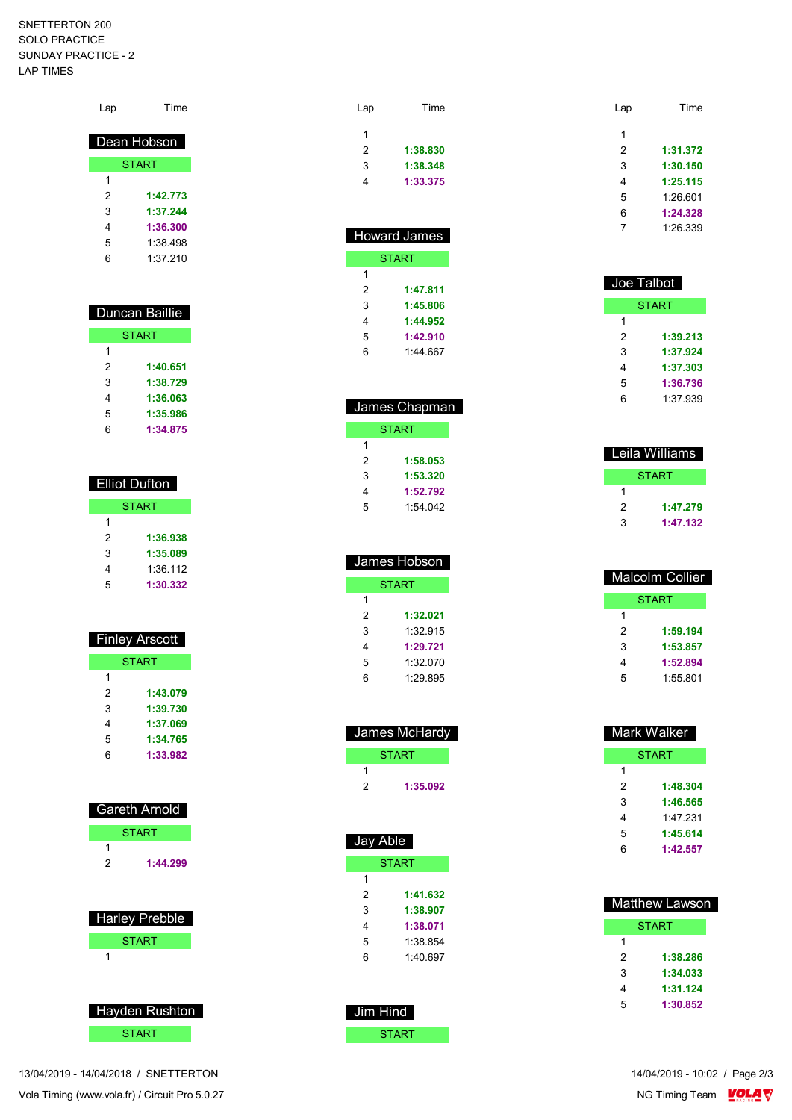## SNETTERTON 200 SOLO PRACTICE SUNDAY PRACTICE - 2 LAP TIMES

| Lap            | Time         |  |
|----------------|--------------|--|
|                |              |  |
|                | Dean Hobson  |  |
|                | <b>START</b> |  |
| 1              |              |  |
| 2              | 1:42.773     |  |
| 3              | 1:37.244     |  |
| 4              | 1:36.300     |  |
| 5              | 1.38498      |  |
| 6              | 1:37.210     |  |
|                |              |  |
|                |              |  |
| Duncan Baillie |              |  |
|                |              |  |
|                | <b>START</b> |  |
| $\overline{a}$ |              |  |

| 1 |          |
|---|----------|
| 2 | 1:40.651 |
| 3 | 1:38.729 |
| 4 | 1:36.063 |
| 5 | 1:35.986 |
| հ | 1:34.875 |

| Elliot Dufton |          |  |  |
|---------------|----------|--|--|
| <b>START</b>  |          |  |  |
| 1             |          |  |  |
| 2             | 1:36.938 |  |  |
| 3             | 1:35.089 |  |  |
| 4             | 1:36112  |  |  |
| 5             | 1:30.332 |  |  |

| <b>Finley Arscott</b> |          |  |
|-----------------------|----------|--|
| <b>START</b>          |          |  |
| 1                     |          |  |
| 2                     | 1:43.079 |  |
| 3                     | 1:39.730 |  |
| 4                     | 1:37.069 |  |
| 5                     | 1:34.765 |  |
| 6                     | 1:33.982 |  |
|                       |          |  |

| Gareth Arnold         |  |  |
|-----------------------|--|--|
| <b>START</b>          |  |  |
| 1                     |  |  |
| 2<br>1:44.299         |  |  |
|                       |  |  |
|                       |  |  |
| <b>Harley Prebble</b> |  |  |
| <b>START</b>          |  |  |
| 1                     |  |  |
|                       |  |  |
|                       |  |  |
| <b>Hayden Rushton</b> |  |  |

| STARI |
|-------|

13/04/2019 - 14/04/2018 / SNETTERTON

| Lap | Time     |
|-----|----------|
|     |          |
| 1   |          |
| 2   | 1:38.830 |
| 3   | 1:38.348 |
| 4   | 1:33.375 |
|     |          |

| <b>Howard James</b> |          |  |
|---------------------|----------|--|
| <b>START</b>        |          |  |
| 1                   |          |  |
| 2                   | 1:47.811 |  |
| 3                   | 1:45.806 |  |
| 4                   | 1:44.952 |  |
| 5                   | 1:42.910 |  |
| հ                   | 1.44667  |  |

| James Chapman |  |  |
|---------------|--|--|
| <b>START</b>  |  |  |
|               |  |  |
| 1:58.053      |  |  |
| 1:53.320      |  |  |
| 1:52.792      |  |  |
| 1:54.042      |  |  |
|               |  |  |

| James Hobson |          |  |
|--------------|----------|--|
| <b>START</b> |          |  |
| 1            |          |  |
| 2            | 1:32.021 |  |
| 3            | 1:32 915 |  |
| 4            | 1:29.721 |  |
| 5            | 1:32 070 |  |
| հ            | 1:29.895 |  |

| James McHardy |              |  |  |
|---------------|--------------|--|--|
| <b>START</b>  |              |  |  |
| 1             |              |  |  |
| 2             | 1:35.092     |  |  |
| Jay Able      |              |  |  |
|               | <b>START</b> |  |  |
| 1             |              |  |  |
| 2             | 1:41.632     |  |  |
| 3             | 1:38.907     |  |  |
| 4             | 1:38.071     |  |  |
| 5             | 1:38.854     |  |  |
| 6             | 1:40.697     |  |  |
| Jim Hind      |              |  |  |
| START         |              |  |  |

| Time     | Lap |  |
|----------|-----|--|
|          |     |  |
|          | 1   |  |
| 1:31.372 | 2   |  |
| 1:30.150 | 3   |  |
| 1:25.115 | 4   |  |
| 1:26.601 | 5   |  |
| 1:24.328 | 6   |  |
| 1:26.339 |     |  |

| Joe Talbot |          |  |
|------------|----------|--|
|            | START    |  |
| 1          |          |  |
| 2          | 1:39.213 |  |
| 3          | 1:37.924 |  |
| 4          | 1:37.303 |  |
| 5          | 1:36.736 |  |
| հ          | 1:37.939 |  |

|   | Leila Williams |
|---|----------------|
|   | <b>START</b>   |
|   |                |
| 2 | 1:47.279       |
| ٩ | 1:47.132       |

| Malcolm Collier |
|-----------------|
| <b>START</b>    |
|                 |
| 1:59.194        |
| 1:53.857        |
| 1:52.894        |
| 1:55.801        |
|                 |

| Mark Walker |          |  |
|-------------|----------|--|
|             | START    |  |
| 1           |          |  |
| 2           | 1:48.304 |  |
| 3           | 1:46.565 |  |
| 4           | 1:47 231 |  |
| 5           | 1:45.614 |  |
| 6           | 1:42.557 |  |
|             |          |  |

| <b>Matthew Lawson</b> |          |
|-----------------------|----------|
|                       | START    |
| 1                     |          |
| 2                     | 1:38.286 |
| 3                     | 1:34.033 |
| 4                     | 1:31.124 |
| 5                     | 1:30.852 |

14/04/2019 - 10:02 / Page 2/3<br>NG Timing Team  $\sqrt{\frac{1}{2}}$